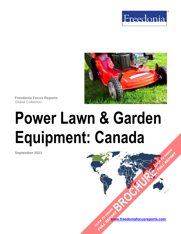



**Freedonia Focus Reports** Global Collection

# **Power Lawn & Garden Equipment: Canada**

**September 2021**

**[www.freedoniafocusreports.com](https://www.freedoniafocusreports.com/redirect.asp?progid=89534&url=/)** CLICK TO ORDER **FULL REPORT** 

**[BROCHURE](https://www.freedoniafocusreports.com/Power-Lawn-Garden-Equipment-Canada-FA90016/?progid=89541) CLICK TO ORDER** 

**FULL REPORT**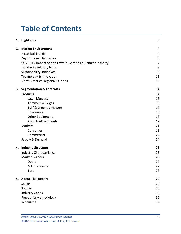# **Table of Contents**

|    | 1. Highlights                                           | 3              |
|----|---------------------------------------------------------|----------------|
| 2. | <b>Market Environment</b>                               | 4              |
|    | <b>Historical Trends</b>                                | 4              |
|    | Key Economic Indicators                                 | 6              |
|    | COVID-19 Impact on the Lawn & Garden Equipment Industry | $\overline{7}$ |
|    | Legal & Regulatory Issues                               | 8              |
|    | <b>Sustainability Initiatives</b>                       | 10             |
|    | Technology & Innovation                                 | 11             |
|    | North America Regional Outlook                          | 13             |
| 3. | <b>Segmentation &amp; Forecasts</b>                     | 14             |
|    | Products                                                | 14             |
|    | Lawn Mowers                                             | 16             |
|    | Trimmers & Edges                                        | 16             |
|    | <b>Turf &amp; Grounds Mowers</b>                        | 17             |
|    | Chainsaws                                               | 18             |
|    | Other Equipment                                         | 18             |
|    | Parts & Attachments                                     | 19             |
|    | Markets                                                 | 21             |
|    | Consumer                                                | 21             |
|    | Commercial                                              | 22             |
|    | Supply & Demand                                         | 24             |
| 4. | <b>Industry Structure</b>                               | 25             |
|    | <b>Industry Characteristics</b>                         | 25             |
|    | <b>Market Leaders</b>                                   | 26             |
|    | Deere                                                   | 27             |
|    | <b>MTD Products</b>                                     | 27             |
|    | Toro                                                    | 28             |
|    | 5. About This Report                                    | 29             |
|    | Scope                                                   | 29             |
|    | Sources                                                 | 30             |
|    | <b>Industry Codes</b>                                   | 30             |
|    | Freedonia Methodology                                   | 30             |
|    | Resources                                               | 32             |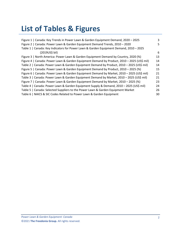# **List of Tables & Figures**

| Figure 1   Canada: Key Trends in Power Lawn & Garden Equipment Demand, 2020 - 2025         | 3  |
|--------------------------------------------------------------------------------------------|----|
| Figure 2   Canada: Power Lawn & Garden Equipment Demand Trends, 2010 - 2020                | 5. |
| Table 1   Canada: Key Indicators for Power Lawn & Garden Equipment Demand, 2010 - 2025     |    |
| (2019US\$ bil)                                                                             | 6  |
| Figure 3   North America: Power Lawn & Garden Equipment Demand by Country, 2020 (%)        | 13 |
| Figure 4   Canada: Power Lawn & Garden Equipment Demand by Product, 2010 - 2025 (US\$ mil) | 14 |
| Table 2   Canada: Power Lawn & Garden Equipment Demand by Product, 2010 - 2025 (US\$ mil)  | 14 |
| Figure 5   Canada: Power Lawn & Garden Equipment Demand by Product, 2010 - 2025 (%)        | 15 |
| Figure 6   Canada: Power Lawn & Garden Equipment Demand by Market, 2010 - 2025 (US\$ mil)  | 21 |
| Table 3   Canada: Power Lawn & Garden Equipment Demand by Market, 2010 - 2025 (US\$ mil)   | 21 |
| Figure 7   Canada: Power Lawn & Garden Equipment Demand by Market, 2010 - 2025 (%)         | 23 |
| Table 4   Canada: Power Lawn & Garden Equipment Supply & Demand, 2010 - 2025 (US\$ mil)    | 24 |
| Table 5   Canada: Selected Suppliers to the Power Lawn & Garden Equipment Market           | 26 |
| Table 6   NAICS & SIC Codes Related to Power Lawn & Garden Equipment                       | 30 |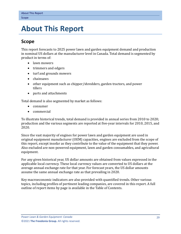## <span id="page-3-0"></span>**5. About This Report**

## <span id="page-3-1"></span>**Scope**

This report forecasts to 2025 power lawn and garden equipment demand and production in nominal US dollars at the manufacturer level in Canada. Total demand is segmented by product in terms of:

- lawn mowers
- trimmers and edgers
- turf and grounds mowers
- chainsaws
- other equipment such as chipper/shredders, garden tractors, and power tillers
- parts and attachments

Total demand is also segmented by market as follows:

- consumer
- commercial

To illustrate historical trends, total demand is provided in annual series from 2010 to 2020; production and the various segments are reported at five-year intervals for 2010, 2015, and 2020.

Since the vast majority of engines for power lawn and garden equipment are used in original equipment manufacturer (OEM) capacities, engines are excluded from the scope of this report, except insofar as they contribute to the value of the equipment that they power. Also excluded are non-powered equipment, lawn and garden consumables, and agricultural equipment.

For any given historical year, US dollar amounts are obtained from values expressed in the applicable local currency. These local currency values are converted to US dollars at the average annual exchange rate for that year. For forecast years, the US dollar amounts assume the same annual exchange rate as that prevailing in 2020.

Key macroeconomic indicators are also provided with quantified trends. Other various topics, including profiles of pertinent leading companies, are covered in this report. A full outline of report items by page is available in the Table of Contents.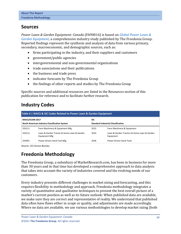## <span id="page-4-0"></span>**Sources**

*Power Lawn & Garden Equipment: Canada* (FA90016) is based on *[Global Power Lawn &](http://www.freedoniagroup.com/DocumentDetails.aspx?ReferrerId=FL-FOCUS&studyid=4211)  [Garden Equipment,](http://www.freedoniagroup.com/DocumentDetails.aspx?ReferrerId=FL-FOCUS&studyid=4211)* a comprehensive industry study published by The Freedonia Group. Reported findings represent the synthesis and analysis of data from various primary, secondary, macroeconomic, and demographic sources, such as:

- firms participating in the industry, and their suppliers and customers
- government/public agencies
- intergovernmental and non-governmental organizations
- trade associations and their publications
- the business and trade press
- indicator forecasts by The Freedonia Group
- the findings of other reports and studies by The Freedonia Group

Specific sources and additional resources are listed in the Resources section of this publication for reference and to facilitate further research.

## <span id="page-4-1"></span>**Industry Codes**

<span id="page-4-3"></span>

| Table 6   NAICS & SIC Codes Related to Power Lawn & Garden Equipment |                                                             |                                           |                                                          |  |  |  |  |
|----------------------------------------------------------------------|-------------------------------------------------------------|-------------------------------------------|----------------------------------------------------------|--|--|--|--|
| NAICS/SCIAN 2017                                                     |                                                             | <b>SIC</b>                                |                                                          |  |  |  |  |
| <b>North American Industry Classification System</b>                 |                                                             | <b>Standard Industrial Classification</b> |                                                          |  |  |  |  |
| 333111                                                               | Farm Machinery & Equipment Mfg                              | 3523                                      | Farm Machinery & Equipment                               |  |  |  |  |
| 333112                                                               | Lawn & Garden Tractor & Home Lawn & Garden<br>Equipment Mfg | 3524                                      | Lawn & Garden Tractors & Home Lawn & Garden<br>Equipment |  |  |  |  |
| 333991                                                               | Power-Driven Hand Tool Mfg                                  | 3546                                      | Power-Driven Hand Tools                                  |  |  |  |  |

Source: US Census Bureau

## <span id="page-4-2"></span>**Freedonia Methodology**

The Freedonia Group, a subsidiary of MarketResearch.com, has been in business for more than 30 years and in that time has developed a comprehensive approach to data analysis that takes into account the variety of industries covered and the evolving needs of our customers.

Every industry presents different challenges in market sizing and forecasting, and this requires flexibility in methodology and approach. Freedonia methodology integrates a variety of quantitative and qualitative techniques to present the best overall picture of a market's current position as well as its future outlook: When published data are available, we make sure they are correct and representative of reality. We understand that published data often have flaws either in scope or quality, and adjustments are made accordingly. Where no data are available, we use various methodologies to develop market sizing (both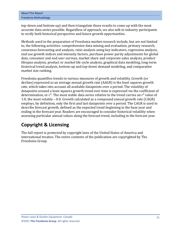| <b>About This Report</b> |
|--------------------------|
| Freedonia Methodology    |

top-down and bottom-up) and then triangulate those results to come up with the most accurate data series possible. Regardless of approach, we also talk to industry participants to verify both historical perspective and future growth opportunities.

Methods used in the preparation of Freedonia market research include, but are not limited to, the following activities: comprehensive data mining and evaluation, primary research, consensus forecasting and analysis, ratio analysis using key indicators, regression analysis, end use growth indices and intensity factors, purchase power parity adjustments for global data, consumer and end user surveys, market share and corporate sales analysis, product lifespan analysis, product or market life cycle analysis, graphical data modeling, long-term historical trend analysis, bottom-up and top-down demand modeling, and comparative market size ranking.

Freedonia quantifies trends in various measures of growth and volatility. Growth (or decline) expressed as an average annual growth rate (AAGR) is the least squares growth rate, which takes into account all available datapoints over a period. The volatility of datapoints around a least squares growth trend over time is expressed via the coefficient of determination, or  $r^2$ . The most stable data series relative to the trend carries an  $r^2$  value of 1.0; the most volatile – 0.0. Growth calculated as a compound annual growth rate (CAGR) employs, by definition, only the first and last datapoints over a period. The CAGR is used to describe forecast growth, defined as the expected trend beginning in the base year and ending in the forecast year. Readers are encouraged to consider historical volatility when assessing particular annual values along the forecast trend, including in the forecast year.

## **Copyright & Licensing**

The full report is protected by copyright laws of the United States of America and international treaties. The entire contents of the publication are copyrighted by The Freedonia Group.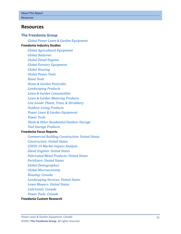## <span id="page-6-0"></span>**Resources**

#### **The Freedonia Group**

*[Global Power Lawn & Garden Equipment](http://www.freedoniagroup.com/DocumentDetails.aspx?ReferrerId=FL-FOCUS&studyid=4211)*

#### **[Freedonia Industry Studies](http://www.freedoniagroup.com/Home.aspx?ReferrerId=FL-Focus)**

*[Global Agricultural Equipment](http://www.freedoniagroup.com/DocumentDetails.aspx?ReferrerId=FL-FOCUS&studyid=3872) [Global Batteries](http://www.freedoniagroup.com/DocumentDetails.aspx?ReferrerId=FL-FOCUS&studyid=3875) [Global Diesel Engines](http://www.freedoniagroup.com/DocumentDetails.aspx?ReferrerId=FL-FOCUS&studyid=3734) [Global Forestry Equipment](http://www.freedoniagroup.com/DocumentDetails.aspx?ReferrerId=FL-FOCUS&studyid=4148) [Global Housing](http://www.freedoniagroup.com/DocumentDetails.aspx?ReferrerId=FL-FOCUS&studyid=3877) [Global Power Tools](http://www.freedoniagroup.com/DocumentDetails.aspx?ReferrerId=FL-FOCUS&studyid=3969) [Hand Tools](http://www.freedoniagroup.com/DocumentDetails.aspx?ReferrerId=FL-FOCUS&studyid=3833) [Home & Garden Pesticides](http://www.freedoniagroup.com/DocumentDetails.aspx?ReferrerId=FL-FOCUS&studyid=3832) [Landscaping Products](http://www.freedoniagroup.com/DocumentDetails.aspx?ReferrerId=FL-FOCUS&studyid=4151) [Lawn & Garden Consumables](http://www.freedoniagroup.com/DocumentDetails.aspx?ReferrerId=FL-FOCUS&studyid=3849) [Lawn & Garden Watering Products](http://www.freedoniagroup.com/DocumentDetails.aspx?ReferrerId=FL-FOCUS&studyid=3757) [Live Goods: Plants, Trees, & Shrubbery](http://www.freedoniagroup.com/DocumentDetails.aspx?ReferrerId=FL-FOCUS&studyid=3721) [Outdoor Living Products](http://www.freedoniagroup.com/DocumentDetails.aspx?ReferrerId=FL-FOCUS&studyid=4146) [Power Lawn & Garden Equipment](http://www.freedoniagroup.com/DocumentDetails.aspx?ReferrerId=FL-FOCUS&studyid=3844) [Power Tools](http://www.freedoniagroup.com/DocumentDetails.aspx?ReferrerId=FL-FOCUS&studyid=3818) [Sheds & Other Residential Outdoor Storage](http://www.freedoniagroup.com/DocumentDetails.aspx?ReferrerId=FL-FOCUS&studyid=3723) [Tool Storage Products](http://www.freedoniagroup.com/DocumentDetails.aspx?ReferrerId=FL-FOCUS&studyid=3663)*

#### **[Freedonia Focus Reports](https://www.freedoniafocusreports.com/redirect.asp?progid=89534&url=/)**

*[Commercial Building Construction: United States](https://www.freedoniafocusreports.com/Commercial-Building-Construction-United-States-FF60032/?progid=89534) [Construction: United States](https://www.freedoniafocusreports.com/Construction-United-States-FF60054/?progid=89534) [COVID-19 Market Impact Analysis](https://www.freedoniafocusreports.com/COVID-19-Market-Impact-Analysis-FW95079/?progid=89534) [Diesel Engines: United States](https://www.freedoniafocusreports.com/Diesel-Engines-United-States-FF45026/?progid=89534) [Fabricated Metal Products: United States](https://www.freedoniafocusreports.com/Fabricated-Metal-Products-United-States-FF70027/?progid=89534) [Fertilizers: United States](https://www.freedoniafocusreports.com/Fertilizers-United-States-FF35077/?progid=89534) [Global Demographics](https://www.freedoniafocusreports.com/Global-Demographics-FW95050/?progid=89534) [Global Macroeconomy](https://www.freedoniafocusreports.com/Global-Macroeconomy-FW95051/?progid=89534) [Housing: Canada](https://www.freedoniafocusreports.com/Housing-Canada-FA60024/?progid=89534) [Landscaping Services: United States](https://www.freedoniafocusreports.com/Landscaping-Services-United-States-FF95053/?progid=89534) [Lawn Mowers: United States](https://www.freedoniafocusreports.com/Lawn-Mowers-United-States-FF90039/?progid=89534) [Lubricants: Canada](https://www.freedoniafocusreports.com/Lubricants-Canada-FA35022/?progid=89534) [Power Tools: Canada](https://www.freedoniafocusreports.com/Power-Tools-Canada-FA75025/?progid=89534)*

#### **[Freedonia Custom Research](http://www.freedoniagroup.com/CustomResearch.aspx?ReferrerId=FL-Focus)**